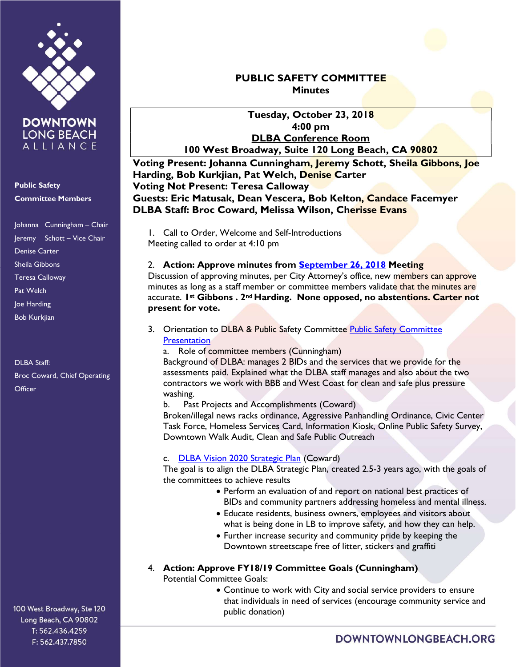

Public Safety Committee Members

Johanna Cunningham – Chair Jeremy Schott – Vice Chair Denise Carter Sheila Gibbons Teresa Calloway Pat Welch Joe Harding Bob Kurkjian

DLBA Staff: Broc Coward, Chief Operating **Officer** 

100 West Broadway, Ste 120 Long Beach, CA 90802 T: 562.436.4259 F: 562.437.7850

## PUBLIC SAFETY COMMITTEE **Minutes**

Tuesday, October 23, 2018 4:00 pm DLBA Conference Room 100 West Broadway, Suite 120 Long Beach, CA 90802

Voting Present: Johanna Cunningham, Jeremy Schott, Sheila Gibbons, Joe Harding, Bob Kurkjian, Pat Welch, Denise Carter Voting Not Present: Teresa Calloway Guests: Eric Matusak, Dean Vescera, Bob Kelton, Candace Facemyer DLBA Staff: Broc Coward, Melissa Wilson, Cherisse Evans

1. Call to Order, Welcome and Self-Introductions Meeting called to order at 4:10 pm

#### 2. Action: Approve minutes from September 26, 2018 Meeting

Discussion of approving minutes, per City Attorney's office, new members can approve minutes as long as a staff member or committee members validate that the minutes are accurate. 1st Gibbons . 2<sup>nd</sup> Harding. None opposed, no abstentions. Carter not present for vote.

3. Orientation to DLBA & Public Safety Committee Public Safety Committee **Presentation** 

a. Role of committee members (Cunningham)

Background of DLBA: manages 2 BIDs and the services that we provide for the assessments paid. Explained what the DLBA staff manages and also about the two contractors we work with BBB and West Coast for clean and safe plus pressure washing.

b. Past Projects and Accomplishments (Coward)

Broken/illegal news racks ordinance, Aggressive Panhandling Ordinance, Civic Center Task Force, Homeless Services Card, Information Kiosk, Online Public Safety Survey, Downtown Walk Audit, Clean and Safe Public Outreach

#### c. DLBA Vision 2020 Strategic Plan (Coward)

The goal is to align the DLBA Strategic Plan, created 2.5-3 years ago, with the goals of the committees to achieve results

- Perform an evaluation of and report on national best practices of BIDs and community partners addressing homeless and mental illness.
- Educate residents, business owners, employees and visitors about what is being done in LB to improve safety, and how they can help.
- Further increase security and community pride by keeping the Downtown streetscape free of litter, stickers and graffiti
- 4. Action: Approve FY18/19 Committee Goals (Cunningham)

Potential Committee Goals:

 Continue to work with City and social service providers to ensure that individuals in need of services (encourage community service and public donation)